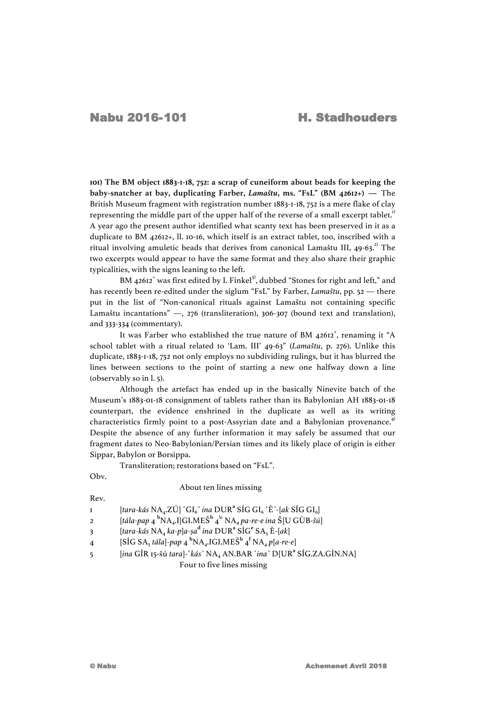**101) The BM object 1883-1-18, 752: a scrap of cuneiform about beads for keeping the baby-snatcher at bay, duplicating Farber,** *Lamaštu***, ms. "FsL" (BM 42612+) —** The British Museum fragment with registration number 1883-1-18, 752 is a mere flake of clay representing the middle part of the upper half of the reverse of a small excerpt tablet.<sup>1)</sup> A year ago the present author identified what scanty text has been preserved in it as a duplicate to BM 42612+, ll. 10-16, which itself is an extract tablet, too, inscribed with a ritual involving amuletic beads that derives from canonical Lamaštu III,  $49-63$ <sup>2)</sup> The two excerpts would appear to have the same format and they also share their graphic typicalities, with the signs leaning to the left.

BM 42612<sup>+</sup> was first edited by I. Finkel<sup>3)</sup>, dubbed "Stones for right and left," and has recently been re-edited under the siglum "FsL" by Farber, *Lamaštu*, pp. 52 — there put in the list of "Non-canonical rituals against Lamaštu not containing specific Lamaštu incantations" —, 276 (transliteration), 306-307 (bound text and translation), and 333-334 (commentary).

It was Farber who established the true nature of BM 42612<sup>+</sup>, renaming it "A school tablet with a ritual related to 'Lam. III' 49-63" (*Lamaštu*, p. 276). Unlike this duplicate, 1883-1-18, 752 not only employs no subdividing rulings, but it has blurred the lines between sections to the point of starting a new one halfway down a line (observably so in l. 5).

Although the artefact has ended up in the basically Ninevite batch of the Museum's 1883-01-18 consignment of tablets rather than its Babylonian AH 1883-01-18 counterpart, the evidence enshrined in the duplicate as well as its writing characteristics firmly point to a post-Assyrian date and a Babylonian provenance.<sup>4)</sup> Despite the absence of any further information it may safely be assumed that our fragment dates to Neo-Babylonian/Persian times and its likely place of origin is either Sippar, Babylon or Borsippa.

Transliteration; restorations based on "FsL".

Obv.

## About ten lines missing

Rev.

1 [*tara-kás* NA4.ZÚ] ˹GI6˺ *ina* DUR**<sup>a</sup>** SÍG GI6 ˹È˺-[*ak* SÍG GI6]

- 2 [*tála-pap* 4 **b** NA4.I]GI.MEŠ**<sup>b</sup>** 4 !**<sup>c</sup>** NA4 *pa-re-e ina* Š[U GÙB-*šú*]
- 3 [*tara-kás* NA4 *ka-p*]*a-ṣa* **<sup>d</sup>** *ina* DUR**<sup>a</sup>** SÍG**<sup>e</sup>** SA5 È-[*ak*]
- 4 [SÍG SA<sub>5</sub> *tála*]-pap 4  ${}^{\text{b}}\text{NA}_4$ .IGI.MEŠ ${}^{\text{b}}$  4  ${}^{\text{f}}\text{NA}_4$  p[a-re-e]
- 5 [*ina* GÌR 15-šú *tara*]-˹*kás*˺ NA4 AN.BAR ˹*ina*˺ D[UR**<sup>a</sup>** SÍG.ZA.GÌN.NA]

Four to five lines missing